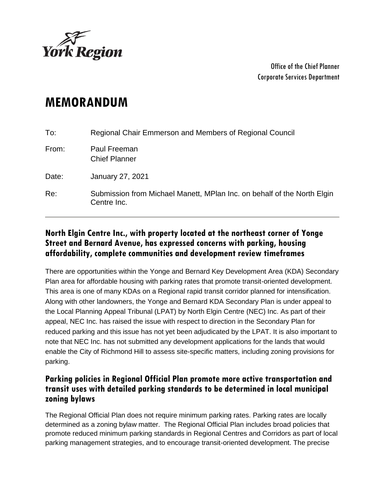

Office of the Chief Planner Corporate Services Department

## **MEMORANDUM**

| To:   | Regional Chair Emmerson and Members of Regional Council                                |
|-------|----------------------------------------------------------------------------------------|
| From: | Paul Freeman<br><b>Chief Planner</b>                                                   |
| Date: | <b>January 27, 2021</b>                                                                |
| Re:   | Submission from Michael Manett, MPlan Inc. on behalf of the North Elgin<br>Centre Inc. |

## **North Elgin Centre Inc., with property located at the northeast corner of Yonge Street and Bernard Avenue, has expressed concerns with parking, housing affordability, complete communities and development review timeframes**

There are opportunities within the Yonge and Bernard Key Development Area (KDA) Secondary Plan area for affordable housing with parking rates that promote transit-oriented development. This area is one of many KDAs on a Regional rapid transit corridor planned for intensification. Along with other landowners, the Yonge and Bernard KDA Secondary Plan is under appeal to the Local Planning Appeal Tribunal (LPAT) by North Elgin Centre (NEC) Inc. As part of their appeal, NEC Inc. has raised the issue with respect to direction in the Secondary Plan for reduced parking and this issue has not yet been adjudicated by the LPAT. It is also important to note that NEC Inc. has not submitted any development applications for the lands that would enable the City of Richmond Hill to assess site-specific matters, including zoning provisions for parking.

## **Parking policies in Regional Official Plan promote more active transportation and transit uses with detailed parking standards to be determined in local municipal zoning bylaws**

The Regional Official Plan does not require minimum parking rates. Parking rates are locally determined as a zoning bylaw matter. The Regional Official Plan includes broad policies that promote reduced minimum parking standards in Regional Centres and Corridors as part of local parking management strategies, and to encourage transit-oriented development. The precise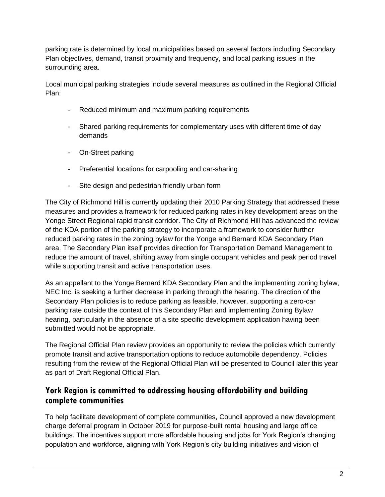parking rate is determined by local municipalities based on several factors including Secondary Plan objectives, demand, transit proximity and frequency, and local parking issues in the surrounding area.

Local municipal parking strategies include several measures as outlined in the Regional Official Plan:

- Reduced minimum and maximum parking requirements
- Shared parking requirements for complementary uses with different time of day demands
- On-Street parking
- Preferential locations for carpooling and car-sharing
- Site design and pedestrian friendly urban form

The City of Richmond Hill is currently updating their 2010 Parking Strategy that addressed these measures and provides a framework for reduced parking rates in key development areas on the Yonge Street Regional rapid transit corridor. The City of Richmond Hill has advanced the review of the KDA portion of the parking strategy to incorporate a framework to consider further reduced parking rates in the zoning bylaw for the Yonge and Bernard KDA Secondary Plan area. The Secondary Plan itself provides direction for Transportation Demand Management to reduce the amount of travel, shifting away from single occupant vehicles and peak period travel while supporting transit and active transportation uses.

As an appellant to the Yonge Bernard KDA Secondary Plan and the implementing zoning bylaw, NEC Inc. is seeking a further decrease in parking through the hearing. The direction of the Secondary Plan policies is to reduce parking as feasible, however, supporting a zero-car parking rate outside the context of this Secondary Plan and implementing Zoning Bylaw hearing, particularly in the absence of a site specific development application having been submitted would not be appropriate.

The Regional Official Plan review provides an opportunity to review the policies which currently promote transit and active transportation options to reduce automobile dependency. Policies resulting from the review of the Regional Official Plan will be presented to Council later this year as part of Draft Regional Official Plan.

## **York Region is committed to addressing housing affordability and building complete communities**

To help facilitate development of complete communities, Council approved a new development charge deferral program in October 2019 for purpose-built rental housing and large office buildings. The incentives support more affordable housing and jobs for York Region's changing population and workforce, aligning with York Region's [city building](https://www.yorklink.ca/live-work-toronto-york-region/) initiatives and vision of